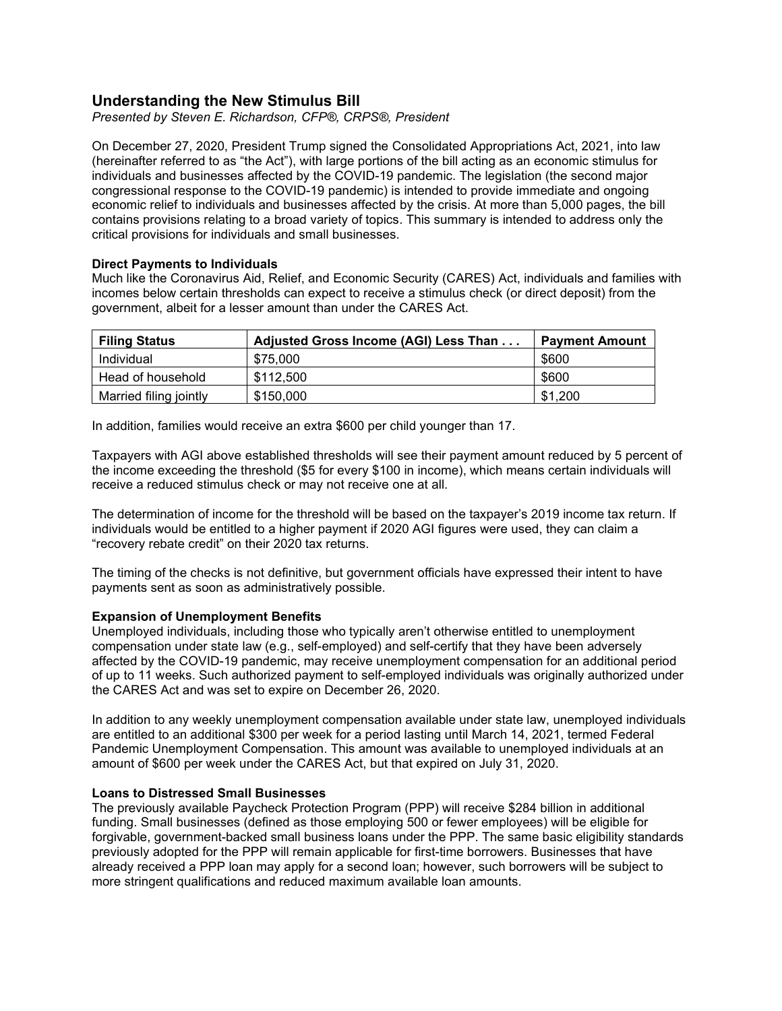# **Understanding the New Stimulus Bill**

*Presented by Steven E. Richardson, CFP®, CRPS®, President*

On December 27, 2020, President Trump signed the Consolidated Appropriations Act, 2021, into law (hereinafter referred to as "the Act"), with large portions of the bill acting as an economic stimulus for individuals and businesses affected by the COVID-19 pandemic. The legislation (the second major congressional response to the COVID-19 pandemic) is intended to provide immediate and ongoing economic relief to individuals and businesses affected by the crisis. At more than 5,000 pages, the bill contains provisions relating to a broad variety of topics. This summary is intended to address only the critical provisions for individuals and small businesses.

## **Direct Payments to Individuals**

Much like the Coronavirus Aid, Relief, and Economic Security (CARES) Act, individuals and families with incomes below certain thresholds can expect to receive a stimulus check (or direct deposit) from the government, albeit for a lesser amount than under the CARES Act.

| <b>Filing Status</b>   | Adjusted Gross Income (AGI) Less Than | <b>Payment Amount</b> |
|------------------------|---------------------------------------|-----------------------|
| Individual             | \$75.000                              | \$600                 |
| Head of household      | \$112.500                             | \$600                 |
| Married filing jointly | \$150,000                             | \$1,200               |

In addition, families would receive an extra \$600 per child younger than 17.

Taxpayers with AGI above established thresholds will see their payment amount reduced by 5 percent of the income exceeding the threshold (\$5 for every \$100 in income), which means certain individuals will receive a reduced stimulus check or may not receive one at all.

The determination of income for the threshold will be based on the taxpayer's 2019 income tax return. If individuals would be entitled to a higher payment if 2020 AGI figures were used, they can claim a "recovery rebate credit" on their 2020 tax returns.

The timing of the checks is not definitive, but government officials have expressed their intent to have payments sent as soon as administratively possible.

## **Expansion of Unemployment Benefits**

Unemployed individuals, including those who typically aren't otherwise entitled to unemployment compensation under state law (e.g., self-employed) and self-certify that they have been adversely affected by the COVID-19 pandemic, may receive unemployment compensation for an additional period of up to 11 weeks. Such authorized payment to self-employed individuals was originally authorized under the CARES Act and was set to expire on December 26, 2020.

In addition to any weekly unemployment compensation available under state law, unemployed individuals are entitled to an additional \$300 per week for a period lasting until March 14, 2021, termed Federal Pandemic Unemployment Compensation. This amount was available to unemployed individuals at an amount of \$600 per week under the CARES Act, but that expired on July 31, 2020.

## **Loans to Distressed Small Businesses**

The previously available Paycheck Protection Program (PPP) will receive \$284 billion in additional funding. Small businesses (defined as those employing 500 or fewer employees) will be eligible for forgivable, government-backed small business loans under the PPP. The same basic eligibility standards previously adopted for the PPP will remain applicable for first-time borrowers. Businesses that have already received a PPP loan may apply for a second loan; however, such borrowers will be subject to more stringent qualifications and reduced maximum available loan amounts.